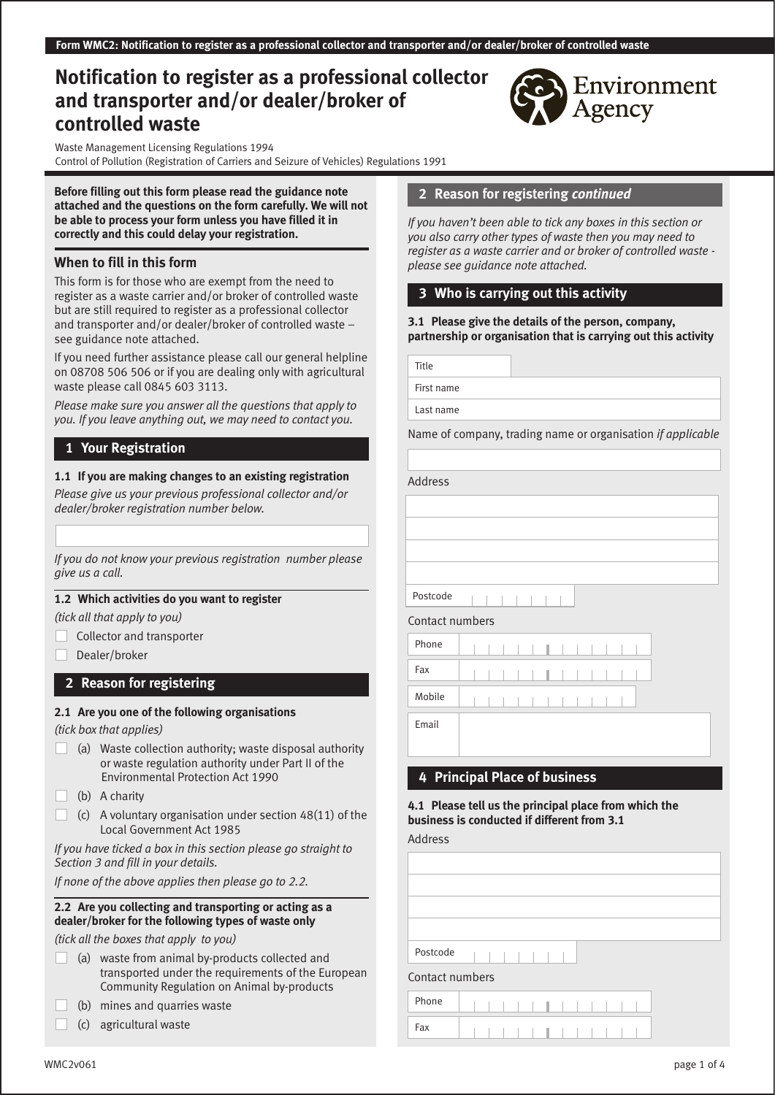# **Notification to register as a professional collector and transporter and/or dealer/broker of controlled waste**

Waste Management Licensing Regulations 1994 Control of Pollution (Registration of Carriers and Seizure of Vehicles) Regulations 1991

**Before filling out this form please read the guidance note attached and the questions on the form carefully. We will not be able to process your form unless you have filled it in correctly and this could delay your registration.**

### **When to fill in this form**

This form is for those who are exempt from the need to register as a waste carrier and/or broker of controlled waste but are still required to register as a professional collector and transporter and/or dealer/broker of controlled waste – see guidance note attached.

If you need further assistance please call our general helpline on 08708 506 506 or if you are dealing only with agricultural waste please call 0845 603 3113.

*Please make sure you answer all the questions that apply to you. If you leave anything out, we may need to contact you.*

## **1 Your Registration**

### **1.1 If you are making changes to an existing registration**

*Please give us your previous professional collector and/or dealer/broker registration number below.* 

*If you do not know your previous registration number please give us a call.* 

### **1.2 Which activities do you want to register**

*(tick all that apply to you)*

- Collector and transporter
- Dealer/broker

### **2 Reason for registering**

#### **2.1 Are you one of the following organisations**

*(tick box that applies)*

- (a) Waste collection authority; waste disposal authority or waste regulation authority under Part II of the Environmental Protection Act 1990
- (b) A charity
- (c) A voluntary organisation under section 48(11) of the Local Government Act 1985

*If you have ticked a box in this section please go straight to Section 3 and fill in your details.*

*If none of the above applies then please go to 2.2.*

#### **2.2 Are you collecting and transporting or acting as a dealer/broker for the following types of waste only**

*(tick all the boxes that apply to you)*

- (a) waste from animal by-products collected and transported under the requirements of the European Community Regulation on Animal by-products
- (b) mines and quarries waste
- (c) agricultural waste

## **2 Reason for registering** *continued*

*If you haven't been able to tick any boxes in this section or you also carry other types of waste then you may need to register as a waste carrier and or broker of controlled waste please see guidance note attached.*

## **3 Who is carrying out this activity**

**3.1 Please give the details of the person, company, partnership or organisation that is carrying out this activity**

Title

First name

Last name

Name of company, trading name or organisation *if applicable*

Address

Postcode



Email

## **4 Principal Place of business**

**4.1 Please tell us the principal place from which the business is conducted if different from 3.1**

Address

| Postcode        |  |  |  |  |  |  |  |
|-----------------|--|--|--|--|--|--|--|
| Contact numbers |  |  |  |  |  |  |  |
| Phone           |  |  |  |  |  |  |  |
| Fax             |  |  |  |  |  |  |  |
|                 |  |  |  |  |  |  |  |

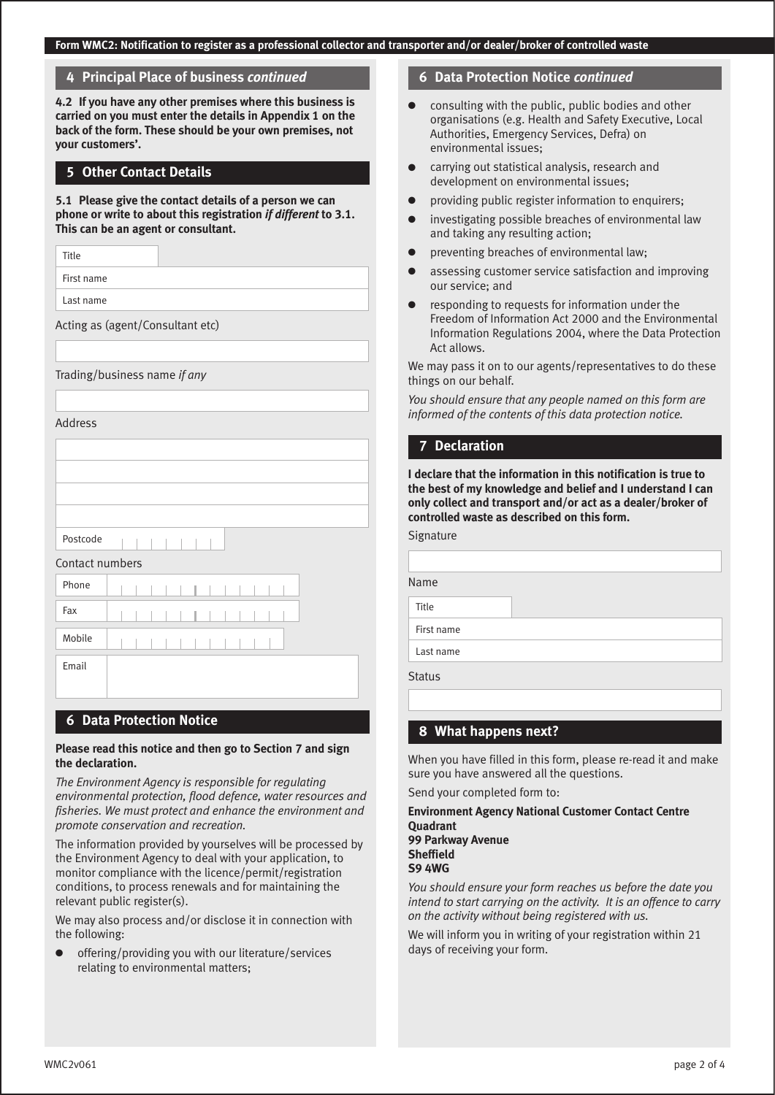#### **4 Principal Place of business** *continued*

**4.2 If you have any other premises where this business is carried on you must enter the details in Appendix 1 on the back of the form. These should be your own premises, not your customers'.**

#### **5 Other Contact Details**

**5.1 Please give the contact details of a person we can phone or write to about this registration** *if different* **to 3.1. This can be an agent or consultant.**

Title

First name

Last name

Acting as (agent/Consultant etc)

Trading/business name *if any*

Address

| Postcode        |  |
|-----------------|--|
| Contact numbers |  |
| Phone           |  |
| Fax             |  |
| Mobile          |  |
| Email           |  |
|                 |  |

### **6 Data Protection Notice**

#### **Please read this notice and then go to Section 7 and sign the declaration.**

*The Environment Agency is responsible for regulating environmental protection, flood defence, water resources and fisheries. We must protect and enhance the environment and promote conservation and recreation.*

The information provided by yourselves will be processed by the Environment Agency to deal with your application, to monitor compliance with the licence/permit/registration conditions, to process renewals and for maintaining the relevant public register(s).

We may also process and/or disclose it in connection with the following:

offering/providing you with our literature/services relating to environmental matters;

#### **6 Data Protection Notice** *continued*

- consulting with the public, public bodies and other organisations (e.g. Health and Safety Executive, Local Authorities, Emergency Services, Defra) on environmental issues;
- carrying out statistical analysis, research and development on environmental issues;
- providing public register information to enquirers;
- investigating possible breaches of environmental law and taking any resulting action;
- preventing breaches of environmental law;
- assessing customer service satisfaction and improving our service; and
- responding to requests for information under the Freedom of Information Act 2000 and the Environmental Information Regulations 2004, where the Data Protection Act allows.

We may pass it on to our agents/representatives to do these things on our behalf.

*You should ensure that any people named on this form are informed of the contents of this data protection notice.*

#### **7 Declaration**

**I declare that the information in this notification is true to the best of my knowledge and belief and I understand I can only collect and transport and/or act as a dealer/broker of controlled waste as described on this form.**

Signature

Name

Title

First name

Last name

**Status** 

## **8 What happens next?**

When you have filled in this form, please re-read it and make sure you have answered all the questions.

Send your completed form to:

#### **Environment Agency National Customer Contact Centre Quadrant 99 Parkway Avenue Sheffield S9 4WG**

*You should ensure your form reaches us before the date you intend to start carrying on the activity. It is an offence to carry on the activity without being registered with us.*

We will inform you in writing of your registration within 21 days of receiving your form.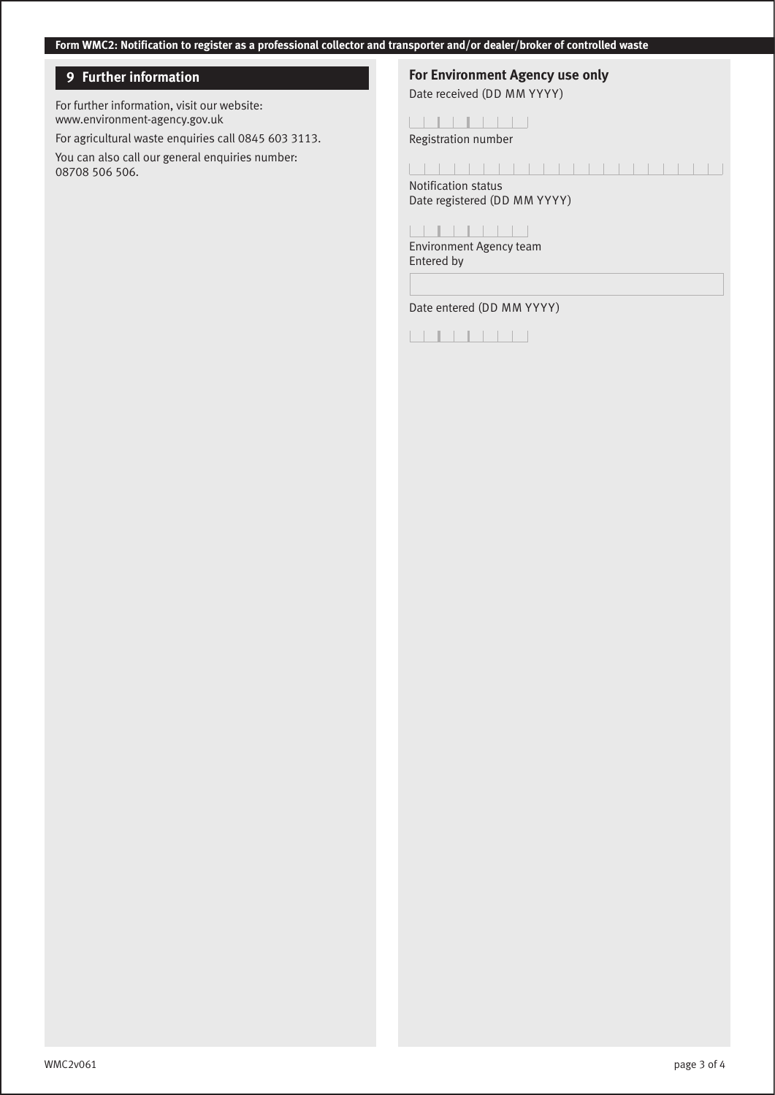## **9 Further information**

For further information, visit our website: www.environment-agency.gov.uk

For agricultural waste enquiries call 0845 603 3113. You can also call our general enquiries number: 08708 506 506.

# **For Environment Agency use only**

Date received (DD MM YYYY)

#### 

Registration number

### 

Notification status Date registered (DD MM YYYY)

## 

Environment Agency team Entered by

Date entered (DD MM YYYY)